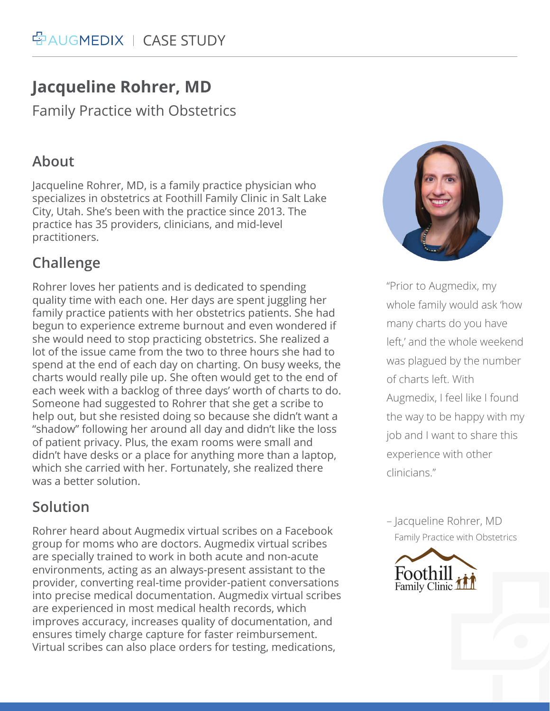# **Jacqueline Rohrer, MD**

Family Practice with Obstetrics

### **About**

Jacqueline Rohrer, MD, is a family practice physician who specializes in obstetrics at Foothill Family Clinic in Salt Lake City, Utah. She's been with the practice since 2013. The practice has 35 providers, clinicians, and mid-level practitioners.

## **Challenge**

Rohrer loves her patients and is dedicated to spending quality time with each one. Her days are spent juggling her family practice patients with her obstetrics patients. She had begun to experience extreme burnout and even wondered if she would need to stop practicing obstetrics. She realized a lot of the issue came from the two to three hours she had to spend at the end of each day on charting. On busy weeks, the charts would really pile up. She often would get to the end of each week with a backlog of three days' worth of charts to do. Someone had suggested to Rohrer that she get a scribe to help out, but she resisted doing so because she didn't want a "shadow" following her around all day and didn't like the loss of patient privacy. Plus, the exam rooms were small and didn't have desks or a place for anything more than a laptop, which she carried with her. Fortunately, she realized there was a better solution.

### **Solution**

Rohrer heard about Augmedix virtual scribes on a Facebook group for moms who are doctors. Augmedix virtual scribes are specially trained to work in both acute and non-acute environments, acting as an always-present assistant to the provider, converting real-time provider-patient conversations into precise medical documentation. Augmedix virtual scribes are experienced in most medical health records, which improves accuracy, increases quality of documentation, and ensures timely charge capture for faster reimbursement. Virtual scribes can also place orders for testing, medications,



"Prior to Augmedix, my whole family would ask 'how many charts do you have left,' and the whole weekend was plagued by the number of charts left. With Augmedix, I feel like I found the way to be happy with my job and I want to share this experience with other clinicians."

– Jacqueline Rohrer, MD Family Practice with Obstetrics